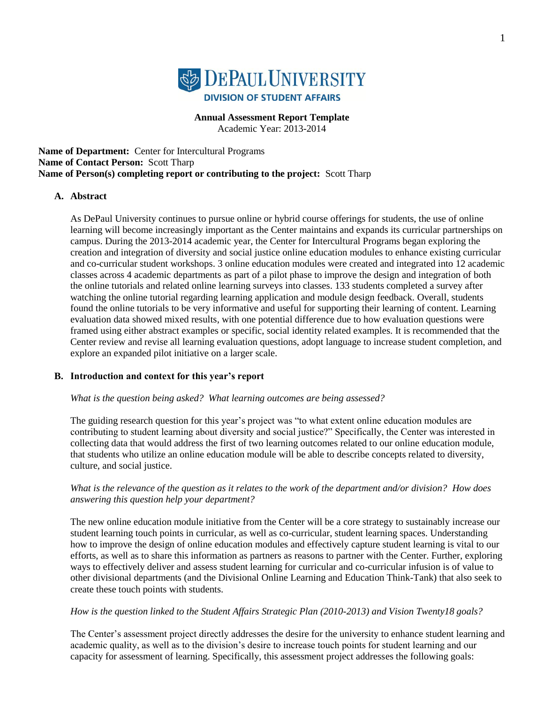

**Annual Assessment Report Template**

Academic Year: 2013-2014

**Name of Department:** Center for Intercultural Programs **Name of Contact Person:** Scott Tharp **Name of Person(s) completing report or contributing to the project:** Scott Tharp

## **A. Abstract**

As DePaul University continues to pursue online or hybrid course offerings for students, the use of online learning will become increasingly important as the Center maintains and expands its curricular partnerships on campus. During the 2013-2014 academic year, the Center for Intercultural Programs began exploring the creation and integration of diversity and social justice online education modules to enhance existing curricular and co-curricular student workshops. 3 online education modules were created and integrated into 12 academic classes across 4 academic departments as part of a pilot phase to improve the design and integration of both the online tutorials and related online learning surveys into classes. 133 students completed a survey after watching the online tutorial regarding learning application and module design feedback. Overall, students found the online tutorials to be very informative and useful for supporting their learning of content. Learning evaluation data showed mixed results, with one potential difference due to how evaluation questions were framed using either abstract examples or specific, social identity related examples. It is recommended that the Center review and revise all learning evaluation questions, adopt language to increase student completion, and explore an expanded pilot initiative on a larger scale.

## **B. Introduction and context for this year's report**

*What is the question being asked? What learning outcomes are being assessed?* 

The guiding research question for this year's project was "to what extent online education modules are contributing to student learning about diversity and social justice?" Specifically, the Center was interested in collecting data that would address the first of two learning outcomes related to our online education module, that students who utilize an online education module will be able to describe concepts related to diversity, culture, and social justice.

## *What is the relevance of the question as it relates to the work of the department and/or division? How does answering this question help your department?*

The new online education module initiative from the Center will be a core strategy to sustainably increase our student learning touch points in curricular, as well as co-curricular, student learning spaces. Understanding how to improve the design of online education modules and effectively capture student learning is vital to our efforts, as well as to share this information as partners as reasons to partner with the Center. Further, exploring ways to effectively deliver and assess student learning for curricular and co-curricular infusion is of value to other divisional departments (and the Divisional Online Learning and Education Think-Tank) that also seek to create these touch points with students.

#### *How is the question linked to the Student Affairs Strategic Plan (2010-2013) and Vision Twenty18 goals?*

The Center's assessment project directly addresses the desire for the university to enhance student learning and academic quality, as well as to the division's desire to increase touch points for student learning and our capacity for assessment of learning. Specifically, this assessment project addresses the following goals: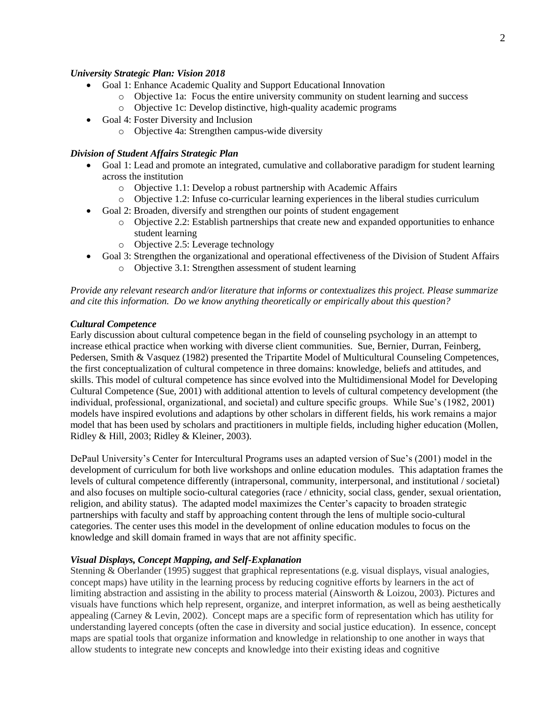## *University Strategic Plan: Vision 2018*

- Goal 1: Enhance Academic Quality and Support Educational Innovation
	- o Objective 1a: Focus the entire university community on student learning and success
	- o Objective 1c: Develop distinctive, high-quality academic programs
- Goal 4: Foster Diversity and Inclusion
	- o Objective 4a: Strengthen campus-wide diversity

#### *Division of Student Affairs Strategic Plan*

- Goal 1: Lead and promote an integrated, cumulative and collaborative paradigm for student learning across the institution
	- o Objective 1.1: Develop a robust partnership with Academic Affairs
	- o Objective 1.2: Infuse co-curricular learning experiences in the liberal studies curriculum
- Goal 2: Broaden, diversify and strengthen our points of student engagement
	- $\circ$  Objective 2.2: Establish partnerships that create new and expanded opportunities to enhance student learning
	- o Objective 2.5: Leverage technology
- Goal 3: Strengthen the organizational and operational effectiveness of the Division of Student Affairs
	- o Objective 3.1: Strengthen assessment of student learning

*Provide any relevant research and/or literature that informs or contextualizes this project. Please summarize and cite this information. Do we know anything theoretically or empirically about this question?* 

#### *Cultural Competence*

Early discussion about cultural competence began in the field of counseling psychology in an attempt to increase ethical practice when working with diverse client communities. Sue, Bernier, Durran, Feinberg, Pedersen, Smith & Vasquez (1982) presented the Tripartite Model of Multicultural Counseling Competences, the first conceptualization of cultural competence in three domains: knowledge, beliefs and attitudes, and skills. This model of cultural competence has since evolved into the Multidimensional Model for Developing Cultural Competence (Sue, 2001) with additional attention to levels of cultural competency development (the individual, professional, organizational, and societal) and culture specific groups. While Sue's (1982, 2001) models have inspired evolutions and adaptions by other scholars in different fields, his work remains a major model that has been used by scholars and practitioners in multiple fields, including higher education (Mollen, Ridley & Hill, 2003; Ridley & Kleiner, 2003).

DePaul University's Center for Intercultural Programs uses an adapted version of Sue's (2001) model in the development of curriculum for both live workshops and online education modules. This adaptation frames the levels of cultural competence differently (intrapersonal, community, interpersonal, and institutional / societal) and also focuses on multiple socio-cultural categories (race / ethnicity, social class, gender, sexual orientation, religion, and ability status). The adapted model maximizes the Center's capacity to broaden strategic partnerships with faculty and staff by approaching content through the lens of multiple socio-cultural categories. The center uses this model in the development of online education modules to focus on the knowledge and skill domain framed in ways that are not affinity specific.

#### *Visual Displays, Concept Mapping, and Self-Explanation*

Stenning & Oberlander (1995) suggest that graphical representations (e.g. visual displays, visual analogies, concept maps) have utility in the learning process by reducing cognitive efforts by learners in the act of limiting abstraction and assisting in the ability to process material (Ainsworth & Loizou, 2003). Pictures and visuals have functions which help represent, organize, and interpret information, as well as being aesthetically appealing (Carney & Levin, 2002). Concept maps are a specific form of representation which has utility for understanding layered concepts (often the case in diversity and social justice education). In essence, concept maps are spatial tools that organize information and knowledge in relationship to one another in ways that allow students to integrate new concepts and knowledge into their existing ideas and cognitive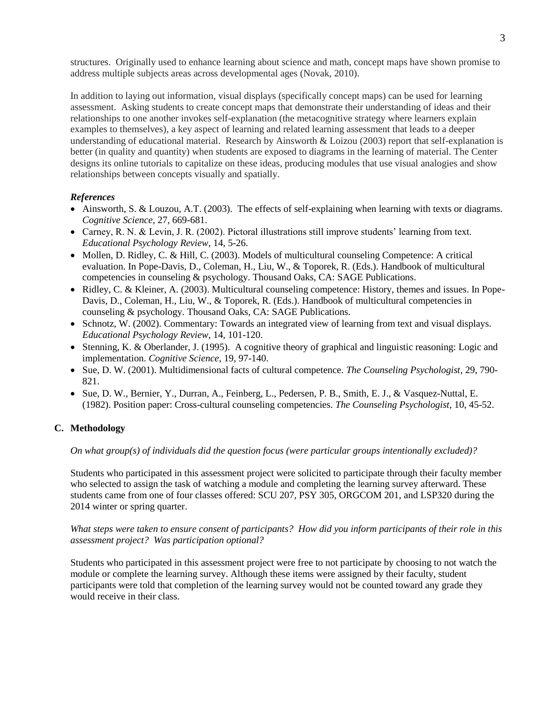structures. Originally used to enhance learning about science and math, concept maps have shown promise to address multiple subjects areas across developmental ages (Novak, 2010).

In addition to laying out information, visual displays (specifically concept maps) can be used for learning assessment. Asking students to create concept maps that demonstrate their understanding of ideas and their relationships to one another invokes self-explanation (the metacognitive strategy where learners explain examples to themselves), a key aspect of learning and related learning assessment that leads to a deeper understanding of educational material. Research by Ainsworth & Loizou (2003) report that self-explanation is better (in quality and quantity) when students are exposed to diagrams in the learning of material. The Center designs its online tutorials to capitalize on these ideas, producing modules that use visual analogies and show relationships between concepts visually and spatially.

# *References*

- $\bullet$  Ainsworth, S. & Louzou, A.T. (2003). The effects of self-explaining when learning with texts or diagrams. *Cognitive Science*, 27, 669-681.
- Carney, R. N. & Levin, J. R. (2002). Pictoral illustrations still improve students' learning from text. *Educational Psychology Review*, 14, 5-26.
- Mollen, D. Ridley, C. & Hill, C. (2003). Models of multicultural counseling Competence: A critical evaluation. In Pope-Davis, D., Coleman, H., Liu, W., & Toporek, R. (Eds.). Handbook of multicultural competencies in counseling & psychology. Thousand Oaks, CA: SAGE Publications.
- Ridley, C. & Kleiner, A. (2003). Multicultural counseling competence: History, themes and issues. In Pope-Davis, D., Coleman, H., Liu, W., & Toporek, R. (Eds.). Handbook of multicultural competencies in counseling & psychology. Thousand Oaks, CA: SAGE Publications.
- Schnotz, W. (2002). Commentary: Towards an integrated view of learning from text and visual displays. *Educational Psychology Review*, 14, 101-120.
- Stenning, K. & Oberlander, J. (1995). A cognitive theory of graphical and linguistic reasoning: Logic and implementation. *Cognitive Science*, 19, 97-140.
- Sue, D. W. (2001). Multidimensional facts of cultural competence. *The Counseling Psychologist*, 29, 790- 821.
- Sue, D. W., Bernier, Y., Durran, A., Feinberg, L., Pedersen, P. B., Smith, E. J., & Vasquez-Nuttal, E. (1982). Position paper: Cross-cultural counseling competencies. *The Counseling Psychologist*, 10, 45-52.

## **C. Methodology**

*On what group(s) of individuals did the question focus (were particular groups intentionally excluded)?*

Students who participated in this assessment project were solicited to participate through their faculty member who selected to assign the task of watching a module and completing the learning survey afterward. These students came from one of four classes offered: SCU 207, PSY 305, ORGCOM 201, and LSP320 during the 2014 winter or spring quarter.

*What steps were taken to ensure consent of participants? How did you inform participants of their role in this assessment project? Was participation optional?*

Students who participated in this assessment project were free to not participate by choosing to not watch the module or complete the learning survey. Although these items were assigned by their faculty, student participants were told that completion of the learning survey would not be counted toward any grade they would receive in their class.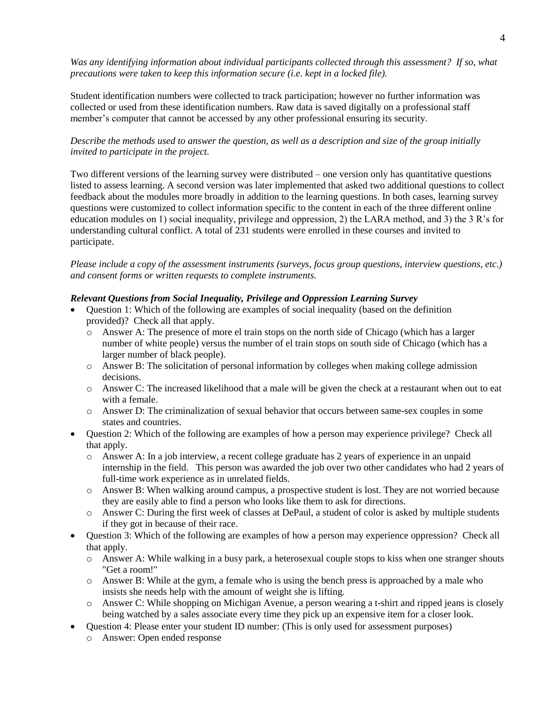*Was any identifying information about individual participants collected through this assessment? If so, what precautions were taken to keep this information secure (i.e. kept in a locked file).*

Student identification numbers were collected to track participation; however no further information was collected or used from these identification numbers. Raw data is saved digitally on a professional staff member's computer that cannot be accessed by any other professional ensuring its security.

# *Describe the methods used to answer the question, as well as a description and size of the group initially invited to participate in the project.*

Two different versions of the learning survey were distributed – one version only has quantitative questions listed to assess learning. A second version was later implemented that asked two additional questions to collect feedback about the modules more broadly in addition to the learning questions. In both cases, learning survey questions were customized to collect information specific to the content in each of the three different online education modules on 1) social inequality, privilege and oppression, 2) the LARA method, and 3) the 3 R's for understanding cultural conflict. A total of 231 students were enrolled in these courses and invited to participate.

*Please include a copy of the assessment instruments (surveys, focus group questions, interview questions, etc.) and consent forms or written requests to complete instruments.*

# *Relevant Questions from Social Inequality, Privilege and Oppression Learning Survey*

- Question 1: Which of the following are examples of social inequality (based on the definition provided)? Check all that apply.
	- o Answer A: The presence of more el train stops on the north side of Chicago (which has a larger number of white people) versus the number of el train stops on south side of Chicago (which has a larger number of black people).
	- o Answer B: The solicitation of personal information by colleges when making college admission decisions.
	- o Answer C: The increased likelihood that a male will be given the check at a restaurant when out to eat with a female.
	- o Answer D: The criminalization of sexual behavior that occurs between same-sex couples in some states and countries.
- Question 2: Which of the following are examples of how a person may experience privilege? Check all that apply.
	- o Answer A: In a job interview, a recent college graduate has 2 years of experience in an unpaid internship in the field. This person was awarded the job over two other candidates who had 2 years of full-time work experience as in unrelated fields.
	- o Answer B: When walking around campus, a prospective student is lost. They are not worried because they are easily able to find a person who looks like them to ask for directions.
	- o Answer C: During the first week of classes at DePaul, a student of color is asked by multiple students if they got in because of their race.
- Question 3: Which of the following are examples of how a person may experience oppression? Check all that apply.
	- $\circ$  Answer A: While walking in a busy park, a heterosexual couple stops to kiss when one stranger shouts "Get a room!"
	- o Answer B: While at the gym, a female who is using the bench press is approached by a male who insists she needs help with the amount of weight she is lifting.
	- o Answer C: While shopping on Michigan Avenue, a person wearing a t-shirt and ripped jeans is closely being watched by a sales associate every time they pick up an expensive item for a closer look.
- Question 4: Please enter your student ID number: (This is only used for assessment purposes)
	- o Answer: Open ended response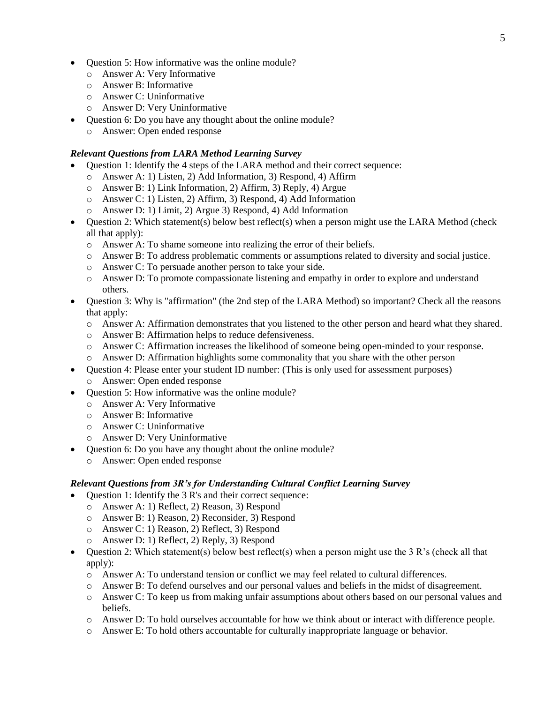- Question 5: How informative was the online module?
	- o Answer A: Very Informative
	- o Answer B: Informative
	- o Answer C: Uninformative
	- o Answer D: Very Uninformative
- Question 6: Do you have any thought about the online module?
	- o Answer: Open ended response

# *Relevant Questions from LARA Method Learning Survey*

- Question 1: Identify the 4 steps of the LARA method and their correct sequence:
	- o Answer A: 1) Listen, 2) Add Information, 3) Respond, 4) Affirm
	- o Answer B: 1) Link Information, 2) Affirm, 3) Reply, 4) Argue
	- o Answer C: 1) Listen, 2) Affirm, 3) Respond, 4) Add Information
	- Answer D: 1) Limit, 2) Argue 3) Respond, 4) Add Information
- $\bullet$  Ouestion 2: Which statement(s) below best reflect(s) when a person might use the LARA Method (check all that apply):
	- o Answer A: To shame someone into realizing the error of their beliefs.
	- o Answer B: To address problematic comments or assumptions related to diversity and social justice.
	- o Answer C: To persuade another person to take your side.
	- o Answer D: To promote compassionate listening and empathy in order to explore and understand others.
- Question 3: Why is "affirmation" (the 2nd step of the LARA Method) so important? Check all the reasons that apply:
	- o Answer A: Affirmation demonstrates that you listened to the other person and heard what they shared.
	- o Answer B: Affirmation helps to reduce defensiveness.
	- o Answer C: Affirmation increases the likelihood of someone being open-minded to your response.
	- Answer D: Affirmation highlights some commonality that you share with the other person
- Question 4: Please enter your student ID number: (This is only used for assessment purposes) o Answer: Open ended response
- Ouestion 5: How informative was the online module?
	- o Answer A: Very Informative
	- o Answer B: Informative
	- o Answer C: Uninformative
	- o Answer D: Very Uninformative
- Question 6: Do you have any thought about the online module?
	- o Answer: Open ended response

## *Relevant Questions from 3R's for Understanding Cultural Conflict Learning Survey*

- Question 1: Identify the 3 R's and their correct sequence:
	- o Answer A: 1) Reflect, 2) Reason, 3) Respond
	- o Answer B: 1) Reason, 2) Reconsider, 3) Respond
	- o Answer C: 1) Reason, 2) Reflect, 3) Respond
	- o Answer D: 1) Reflect, 2) Reply, 3) Respond
- Question 2: Which statement(s) below best reflect(s) when a person might use the 3 R's (check all that apply):
	- o Answer A: To understand tension or conflict we may feel related to cultural differences.
	- o Answer B: To defend ourselves and our personal values and beliefs in the midst of disagreement.
	- o Answer C: To keep us from making unfair assumptions about others based on our personal values and beliefs.
	- o Answer D: To hold ourselves accountable for how we think about or interact with difference people.
	- o Answer E: To hold others accountable for culturally inappropriate language or behavior.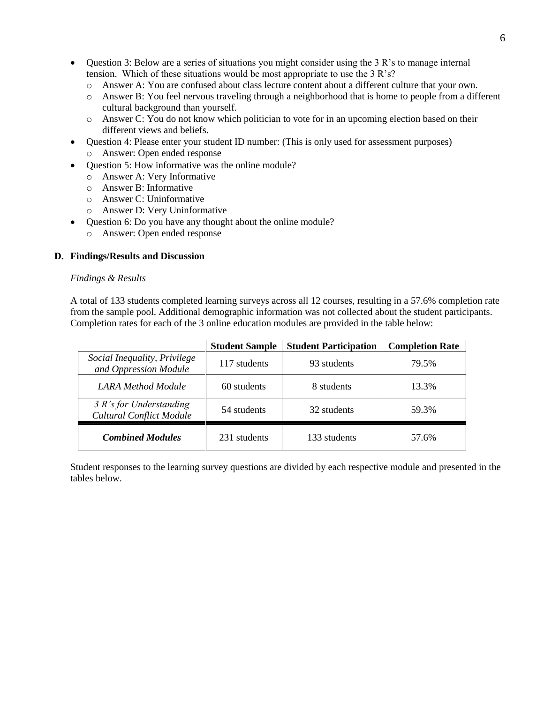- Question 3: Below are a series of situations you might consider using the 3 R's to manage internal tension. Which of these situations would be most appropriate to use the 3 R's?
	- o Answer A: You are confused about class lecture content about a different culture that your own.
	- o Answer B: You feel nervous traveling through a neighborhood that is home to people from a different cultural background than yourself.
	- o Answer C: You do not know which politician to vote for in an upcoming election based on their different views and beliefs.
- Question 4: Please enter your student ID number: (This is only used for assessment purposes)
	- o Answer: Open ended response
- Question 5: How informative was the online module?
	- o Answer A: Very Informative
	- o Answer B: Informative
	- o Answer C: Uninformative
	- o Answer D: Very Uninformative
- Ouestion 6: Do you have any thought about the online module?
	- o Answer: Open ended response

## **D. Findings/Results and Discussion**

## *Findings & Results*

A total of 133 students completed learning surveys across all 12 courses, resulting in a 57.6% completion rate from the sample pool. Additional demographic information was not collected about the student participants. Completion rates for each of the 3 online education modules are provided in the table below:

|                                                              | <b>Student Sample</b> | <b>Student Participation</b> | <b>Completion Rate</b> |
|--------------------------------------------------------------|-----------------------|------------------------------|------------------------|
| Social Inequality, Privilege<br>and Oppression Module        | 117 students          | 93 students                  | 79.5%                  |
| LARA Method Module                                           | 60 students           | 8 students                   | 13.3%                  |
| $3 R's$ for Understanding<br><b>Cultural Conflict Module</b> | 54 students           | 32 students                  | 59.3%                  |
| <b>Combined Modules</b>                                      | 231 students          | 133 students                 | 57.6%                  |

Student responses to the learning survey questions are divided by each respective module and presented in the tables below.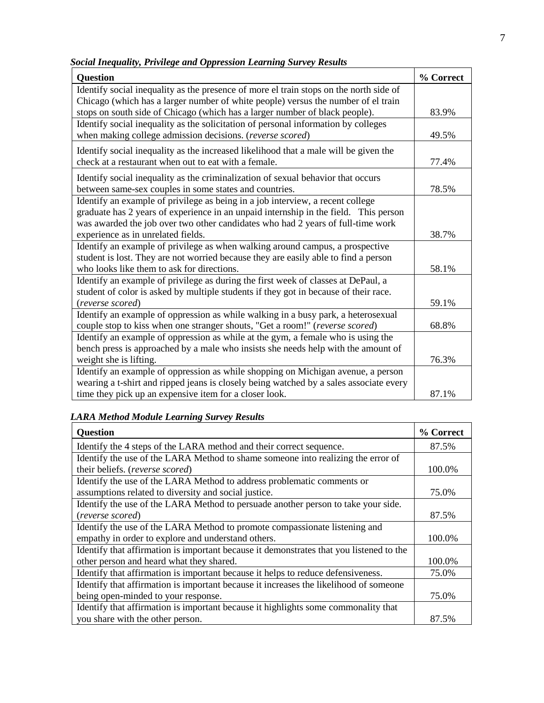*Social Inequality, Privilege and Oppression Learning Survey Results*

| <b>Question</b>                                                                        | % Correct |
|----------------------------------------------------------------------------------------|-----------|
| Identify social inequality as the presence of more el train stops on the north side of |           |
| Chicago (which has a larger number of white people) versus the number of el train      |           |
| stops on south side of Chicago (which has a larger number of black people).            | 83.9%     |
| Identify social inequality as the solicitation of personal information by colleges     |           |
| when making college admission decisions. (reverse scored)                              | 49.5%     |
| Identify social inequality as the increased likelihood that a male will be given the   |           |
| check at a restaurant when out to eat with a female.                                   | 77.4%     |
| Identify social inequality as the criminalization of sexual behavior that occurs       |           |
| between same-sex couples in some states and countries.                                 | 78.5%     |
| Identify an example of privilege as being in a job interview, a recent college         |           |
| graduate has 2 years of experience in an unpaid internship in the field. This person   |           |
| was awarded the job over two other candidates who had 2 years of full-time work        |           |
| experience as in unrelated fields.                                                     | 38.7%     |
| Identify an example of privilege as when walking around campus, a prospective          |           |
| student is lost. They are not worried because they are easily able to find a person    |           |
| who looks like them to ask for directions.                                             | 58.1%     |
| Identify an example of privilege as during the first week of classes at DePaul, a      |           |
| student of color is asked by multiple students if they got in because of their race.   |           |
| (reverse scored)                                                                       | 59.1%     |
| Identify an example of oppression as while walking in a busy park, a heterosexual      |           |
| couple stop to kiss when one stranger shouts, "Get a room!" (reverse scored)           | 68.8%     |
| Identify an example of oppression as while at the gym, a female who is using the       |           |
| bench press is approached by a male who insists she needs help with the amount of      |           |
| weight she is lifting.                                                                 | 76.3%     |
| Identify an example of oppression as while shopping on Michigan avenue, a person       |           |
| wearing a t-shirt and ripped jeans is closely being watched by a sales associate every |           |
| time they pick up an expensive item for a closer look.                                 | 87.1%     |

# *LARA Method Module Learning Survey Results*

| <b>Question</b>                                                                         | % Correct |
|-----------------------------------------------------------------------------------------|-----------|
| Identify the 4 steps of the LARA method and their correct sequence.                     | 87.5%     |
| Identify the use of the LARA Method to shame someone into realizing the error of        |           |
| their beliefs. (reverse scored)                                                         | 100.0%    |
| Identify the use of the LARA Method to address problematic comments or                  |           |
| assumptions related to diversity and social justice.                                    | 75.0%     |
| Identify the use of the LARA Method to persuade another person to take your side.       |           |
| (reverse scored)                                                                        | 87.5%     |
| Identify the use of the LARA Method to promote compassionate listening and              |           |
| empathy in order to explore and understand others.                                      | 100.0%    |
| Identify that affirmation is important because it demonstrates that you listened to the |           |
| other person and heard what they shared.                                                | 100.0%    |
| Identify that affirmation is important because it helps to reduce defensiveness.        | 75.0%     |
| Identify that affirmation is important because it increases the likelihood of someone   |           |
| being open-minded to your response.                                                     | 75.0%     |
| Identify that affirmation is important because it highlights some commonality that      |           |
| you share with the other person.                                                        | 87.5%     |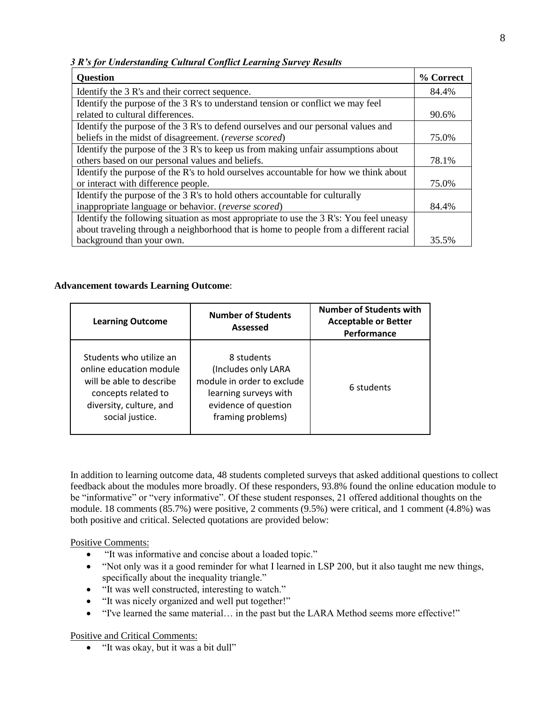*3 R's for Understanding Cultural Conflict Learning Survey Results*

| <b>Question</b>                                                                        | % Correct |
|----------------------------------------------------------------------------------------|-----------|
| Identify the 3 R's and their correct sequence.                                         | 84.4%     |
| Identify the purpose of the 3 R's to understand tension or conflict we may feel        |           |
| related to cultural differences.                                                       | 90.6%     |
| Identify the purpose of the 3 R's to defend ourselves and our personal values and      |           |
| beliefs in the midst of disagreement. (reverse scored)                                 | 75.0%     |
| Identify the purpose of the 3 R's to keep us from making unfair assumptions about      |           |
| others based on our personal values and beliefs.                                       | 78.1%     |
| Identify the purpose of the R's to hold ourselves accountable for how we think about   |           |
| or interact with difference people.                                                    | 75.0%     |
| Identify the purpose of the 3 R's to hold others accountable for culturally            |           |
| inappropriate language or behavior. (reverse scored)                                   | 84.4%     |
| Identify the following situation as most appropriate to use the 3 R's: You feel uneasy |           |
| about traveling through a neighborhood that is home to people from a different racial  |           |
| background than your own.                                                              | 35.5%     |

# **Advancement towards Learning Outcome**:

| <b>Learning Outcome</b>                                                                                                                             | <b>Number of Students</b><br>Assessed                                                                                                 | <b>Number of Students with</b><br><b>Acceptable or Better</b><br>Performance |
|-----------------------------------------------------------------------------------------------------------------------------------------------------|---------------------------------------------------------------------------------------------------------------------------------------|------------------------------------------------------------------------------|
| Students who utilize an<br>online education module<br>will be able to describe<br>concepts related to<br>diversity, culture, and<br>social justice. | 8 students<br>(Includes only LARA<br>module in order to exclude<br>learning surveys with<br>evidence of question<br>framing problems) | 6 students                                                                   |

In addition to learning outcome data, 48 students completed surveys that asked additional questions to collect feedback about the modules more broadly. Of these responders, 93.8% found the online education module to be "informative" or "very informative". Of these student responses, 21 offered additional thoughts on the module. 18 comments (85.7%) were positive, 2 comments (9.5%) were critical, and 1 comment (4.8%) was both positive and critical. Selected quotations are provided below:

Positive Comments:

- "It was informative and concise about a loaded topic."
- "Not only was it a good reminder for what I learned in LSP 200, but it also taught me new things, specifically about the inequality triangle."
- "It was well constructed, interesting to watch."
- "It was nicely organized and well put together!"
- "I've learned the same material… in the past but the LARA Method seems more effective!"

Positive and Critical Comments:

"It was okay, but it was a bit dull"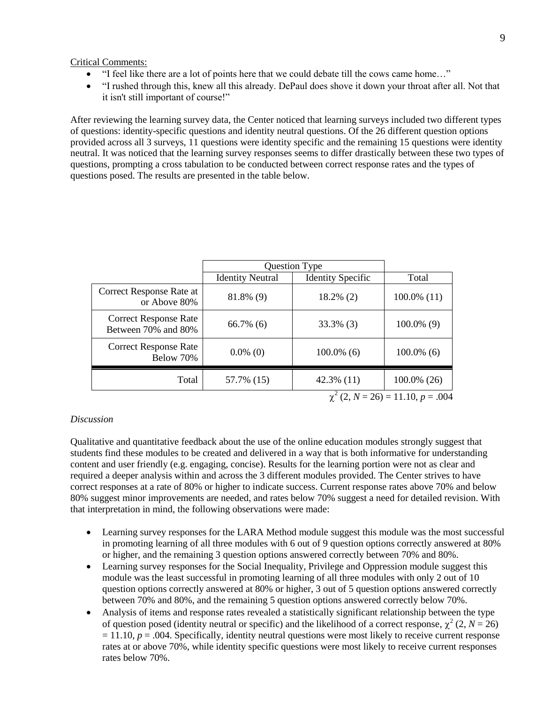Critical Comments:

- "I feel like there are a lot of points here that we could debate till the cows came home…"
- "I rushed through this, knew all this already. DePaul does shove it down your throat after all. Not that it isn't still important of course!"

After reviewing the learning survey data, the Center noticed that learning surveys included two different types of questions: identity-specific questions and identity neutral questions. Of the 26 different question options provided across all 3 surveys, 11 questions were identity specific and the remaining 15 questions were identity neutral. It was noticed that the learning survey responses seems to differ drastically between these two types of questions, prompting a cross tabulation to be conducted between correct response rates and the types of questions posed. The results are presented in the table below.

|                                                     | Question Type           |                          |                |
|-----------------------------------------------------|-------------------------|--------------------------|----------------|
|                                                     | <b>Identity Neutral</b> | <b>Identity Specific</b> | Total          |
| Correct Response Rate at<br>or Above 80%            | 81.8% (9)               | $18.2\%$ (2)             | $100.0\%$ (11) |
| <b>Correct Response Rate</b><br>Between 70% and 80% | $66.7\%$ (6)            | $33.3\%$ (3)             | $100.0\%$ (9)  |
| <b>Correct Response Rate</b><br>Below 70%           | $0.0\%$ (0)             | $100.0\%$ (6)            | $100.0\%$ (6)  |
| Total                                               | 57.7% (15)              | $42.3\%$ (11)            | 100.0% (26)    |
| $\chi^2$ (2, N = 26) = 11.10, p = .004              |                         |                          |                |

#### *Discussion*

Qualitative and quantitative feedback about the use of the online education modules strongly suggest that students find these modules to be created and delivered in a way that is both informative for understanding content and user friendly (e.g. engaging, concise). Results for the learning portion were not as clear and required a deeper analysis within and across the 3 different modules provided. The Center strives to have correct responses at a rate of 80% or higher to indicate success. Current response rates above 70% and below 80% suggest minor improvements are needed, and rates below 70% suggest a need for detailed revision. With that interpretation in mind, the following observations were made:

- Learning survey responses for the LARA Method module suggest this module was the most successful in promoting learning of all three modules with 6 out of 9 question options correctly answered at 80% or higher, and the remaining 3 question options answered correctly between 70% and 80%.
- Learning survey responses for the Social Inequality, Privilege and Oppression module suggest this module was the least successful in promoting learning of all three modules with only 2 out of 10 question options correctly answered at 80% or higher, 3 out of 5 question options answered correctly between 70% and 80%, and the remaining 5 question options answered correctly below 70%.
- Analysis of items and response rates revealed a statistically significant relationship between the type of question posed (identity neutral or specific) and the likelihood of a correct response,  $\chi^2$  (2, *N* = 26)  $= 11.10$ ,  $p = .004$ . Specifically, identity neutral questions were most likely to receive current response rates at or above 70%, while identity specific questions were most likely to receive current responses rates below 70%.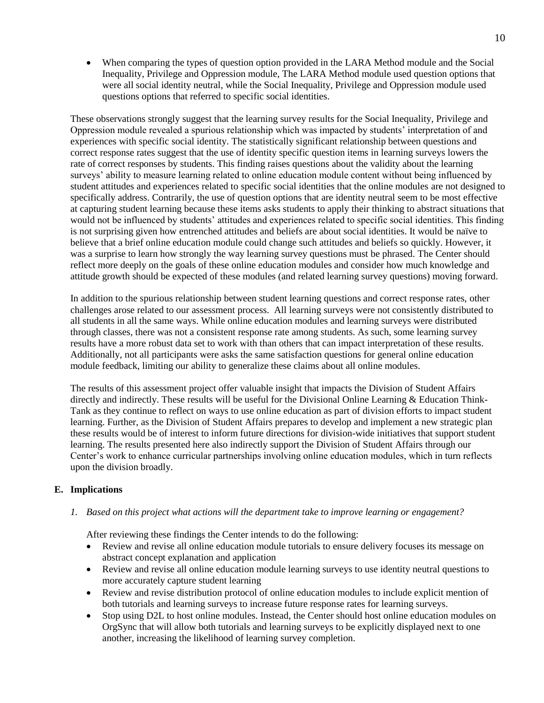When comparing the types of question option provided in the LARA Method module and the Social Inequality, Privilege and Oppression module, The LARA Method module used question options that were all social identity neutral, while the Social Inequality, Privilege and Oppression module used questions options that referred to specific social identities.

These observations strongly suggest that the learning survey results for the Social Inequality, Privilege and Oppression module revealed a spurious relationship which was impacted by students' interpretation of and experiences with specific social identity. The statistically significant relationship between questions and correct response rates suggest that the use of identity specific question items in learning surveys lowers the rate of correct responses by students. This finding raises questions about the validity about the learning surveys' ability to measure learning related to online education module content without being influenced by student attitudes and experiences related to specific social identities that the online modules are not designed to specifically address. Contrarily, the use of question options that are identity neutral seem to be most effective at capturing student learning because these items asks students to apply their thinking to abstract situations that would not be influenced by students' attitudes and experiences related to specific social identities. This finding is not surprising given how entrenched attitudes and beliefs are about social identities. It would be naïve to believe that a brief online education module could change such attitudes and beliefs so quickly. However, it was a surprise to learn how strongly the way learning survey questions must be phrased. The Center should reflect more deeply on the goals of these online education modules and consider how much knowledge and attitude growth should be expected of these modules (and related learning survey questions) moving forward.

In addition to the spurious relationship between student learning questions and correct response rates, other challenges arose related to our assessment process. All learning surveys were not consistently distributed to all students in all the same ways. While online education modules and learning surveys were distributed through classes, there was not a consistent response rate among students. As such, some learning survey results have a more robust data set to work with than others that can impact interpretation of these results. Additionally, not all participants were asks the same satisfaction questions for general online education module feedback, limiting our ability to generalize these claims about all online modules.

The results of this assessment project offer valuable insight that impacts the Division of Student Affairs directly and indirectly. These results will be useful for the Divisional Online Learning & Education Think-Tank as they continue to reflect on ways to use online education as part of division efforts to impact student learning. Further, as the Division of Student Affairs prepares to develop and implement a new strategic plan these results would be of interest to inform future directions for division-wide initiatives that support student learning. The results presented here also indirectly support the Division of Student Affairs through our Center's work to enhance curricular partnerships involving online education modules, which in turn reflects upon the division broadly.

# **E. Implications**

*1. Based on this project what actions will the department take to improve learning or engagement?*

After reviewing these findings the Center intends to do the following:

- Review and revise all online education module tutorials to ensure delivery focuses its message on abstract concept explanation and application
- Review and revise all online education module learning surveys to use identity neutral questions to more accurately capture student learning
- Review and revise distribution protocol of online education modules to include explicit mention of both tutorials and learning surveys to increase future response rates for learning surveys.
- Stop using D2L to host online modules. Instead, the Center should host online education modules on OrgSync that will allow both tutorials and learning surveys to be explicitly displayed next to one another, increasing the likelihood of learning survey completion.